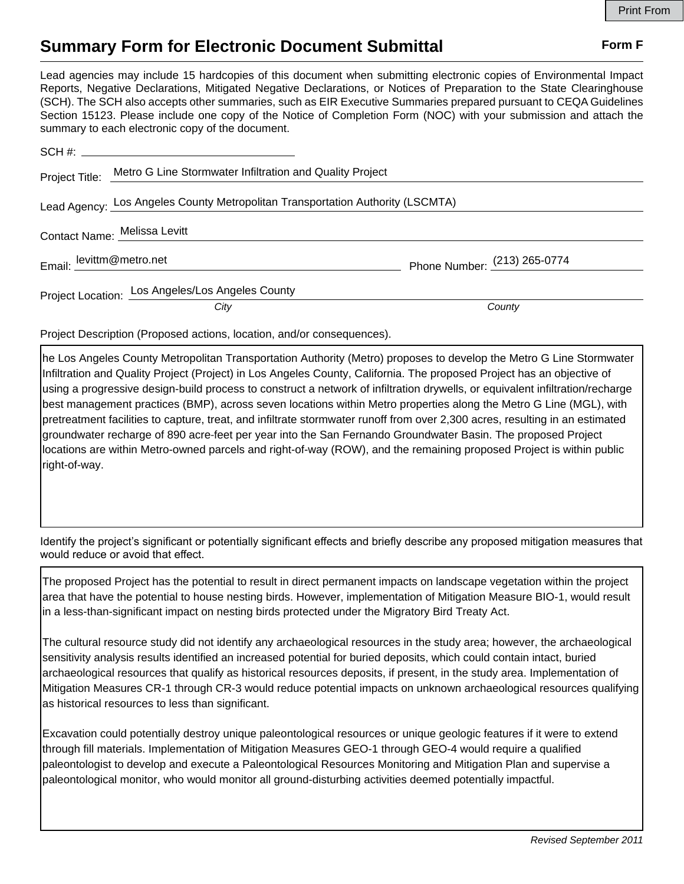## **Summary Form for Electronic Document Submittal Form F Form F**

Lead agencies may include 15 hardcopies of this document when submitting electronic copies of Environmental Impact Reports, Negative Declarations, Mitigated Negative Declarations, or Notices of Preparation to the State Clearinghouse (SCH). The SCH also accepts other summaries, such as EIR Executive Summaries prepared pursuant to CEQA Guidelines Section 15123. Please include one copy of the Notice of Completion Form (NOC) with your submission and attach the summary to each electronic copy of the document.

|                                                                                | Project Title: Metro G Line Stormwater Infiltration and Quality Project |                              |
|--------------------------------------------------------------------------------|-------------------------------------------------------------------------|------------------------------|
| Lead Agency: Los Angeles County Metropolitan Transportation Authority (LSCMTA) |                                                                         |                              |
| Contact Name: Melissa Levitt                                                   |                                                                         |                              |
| Email: levittm@metro.net                                                       |                                                                         | Phone Number: (213) 265-0774 |
|                                                                                | Project Location: Los Angeles/Los Angeles County<br>City                | County                       |

Project Description (Proposed actions, location, and/or consequences).

he Los Angeles County Metropolitan Transportation Authority (Metro) proposes to develop the Metro G Line Stormwater Infiltration and Quality Project (Project) in Los Angeles County, California. The proposed Project has an objective of using a progressive design-build process to construct a network of infiltration drywells, or equivalent infiltration/recharge best management practices (BMP), across seven locations within Metro properties along the Metro G Line (MGL), with pretreatment facilities to capture, treat, and infiltrate stormwater runoff from over 2,300 acres, resulting in an estimated groundwater recharge of 890 acre‐feet per year into the San Fernando Groundwater Basin. The proposed Project locations are within Metro-owned parcels and right-of-way (ROW), and the remaining proposed Project is within public right-of-way.

Identify the project's significant or potentially significant effects and briefly describe any proposed mitigation measures that would reduce or avoid that effect.

The proposed Project has the potential to result in direct permanent impacts on landscape vegetation within the project area that have the potential to house nesting birds. However, implementation of Mitigation Measure BIO-1, would result in a less-than-significant impact on nesting birds protected under the Migratory Bird Treaty Act.

The cultural resource study did not identify any archaeological resources in the study area; however, the archaeological sensitivity analysis results identified an increased potential for buried deposits, which could contain intact, buried archaeological resources that qualify as historical resources deposits, if present, in the study area. Implementation of Mitigation Measures CR-1 through CR-3 would reduce potential impacts on unknown archaeological resources qualifying as historical resources to less than significant.

Excavation could potentially destroy unique paleontological resources or unique geologic features if it were to extend through fill materials. Implementation of Mitigation Measures GEO-1 through GEO-4 would require a qualified paleontologist to develop and execute a Paleontological Resources Monitoring and Mitigation Plan and supervise a paleontological monitor, who would monitor all ground-disturbing activities deemed potentially impactful.